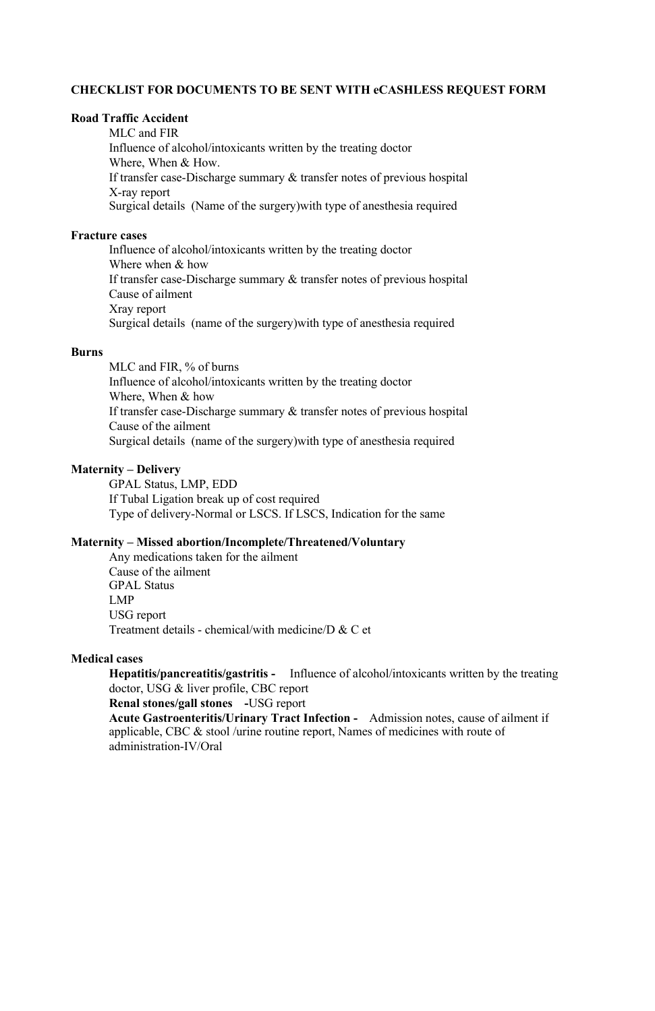# **CHECKLIST FOR DOCUMENTS TO BE SENT WITH eCASHLESS REQUEST FORM**

### **Road Traffic Accident**

MLC and FIR Influence of alcohol/intoxicants written by the treating doctor Where, When & How. If transfer case-Discharge summary & transfer notes of previous hospital X-ray report Surgical details (Name of the surgery)with type of anesthesia required

### **Fracture cases**

MLC and FIR, % of burns Influence of alcohol/intoxicants written by the treating doctor Where, When & how If transfer case-Discharge summary & transfer notes of previous hospital Cause of the ailment Surgical details (name of the surgery)with type of anesthesia required

Influence of alcohol/intoxicants written by the treating doctor Where when & how If transfer case-Discharge summary & transfer notes of previous hospital Cause of ailment Xray report Surgical details (name of the surgery)with type of anesthesia required

# **Burns**

# **Maternity – Delivery**

GPAL Status, LMP, EDD If Tubal Ligation break up of cost required Type of delivery-Normal or LSCS. If LSCS, Indication for the same

# **Maternity – Missed abortion/Incomplete/Threatened/Voluntary**

Any medications taken for the ailment Cause of the ailment GPAL Status LMP USG report Treatment details - chemical/with medicine/D & C et

# **Medical cases**

**Hepatitis/pancreatitis/gastritis -** Influence of alcohol/intoxicants written by the treating doctor, USG & liver profile, CBC report

**Renal stones/gall stones -**USG report

**Acute Gastroenteritis/Urinary Tract Infection -** Admission notes, cause of ailment if applicable, CBC & stool /urine routine report, Names of medicines with route of

administration-IV/Oral